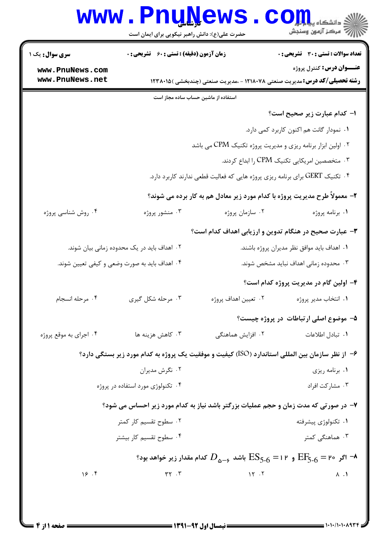|                                    | حضرت علی(ع): دانش راهبر نیکویی برای ایمان است                                |                                                                                                                                            | (د دانشڪاه پي <mark>ا ۾ لو</mark> ر<br>(7 مرڪز آزمون وسنڊش |  |  |
|------------------------------------|------------------------------------------------------------------------------|--------------------------------------------------------------------------------------------------------------------------------------------|------------------------------------------------------------|--|--|
| <b>سری سوال :</b> یک ۱             | زمان آزمون (دقیقه) : تستی : 60 ٪ تشریحی : 0                                  |                                                                                                                                            | <b>تعداد سوالات : تستی : 30 ٪ تشریحی : 0</b>               |  |  |
| www.PnuNews.com<br>www.PnuNews.net |                                                                              | <b>رشته تحصیلی/کد درس:</b> مدیریت صنعتی ۱۲۱۸۰۷۸ - ،مدیریت صنعتی (چندبخشی )۱۲۳۸۰۱۵                                                          | <b>عنـــوان درس:</b> کنترل پروژه                           |  |  |
|                                    | استفاده از ماشین حساب ساده مجاز است                                          |                                                                                                                                            |                                                            |  |  |
|                                    |                                                                              |                                                                                                                                            | ۱– کدام عبارت زیر صحیح است؟                                |  |  |
|                                    |                                                                              |                                                                                                                                            | ٠١ نمودار گانت هم اكنون كاربرد كمى دارد.                   |  |  |
|                                    |                                                                              | ۰۲ اولین ابزار برنامه ریزی و مدیریت پروژه تکنیک CPM می باشد                                                                                |                                                            |  |  |
|                                    | ۰۳ متخصصین امریکایی تکنیک CPM را ابداع کردند.                                |                                                                                                                                            |                                                            |  |  |
|                                    | ۰۴ تکنیک GERT برای برنامه ریزی پروژه هایی که فعالیت قطعی ندارند کاربرد دارد. |                                                                                                                                            |                                                            |  |  |
|                                    | ۲- معمولاً طرح مدیریت پروژه با کدام مورد زیر معادل هم به کار برده می شوند؟   |                                                                                                                                            |                                                            |  |  |
| ۰۴ روش شناسی پروژه                 | ۰۳ منشور پروژه                                                               | ۰۲ سازمان پروژه                                                                                                                            | ٠١. برنامه پروژه                                           |  |  |
|                                    |                                                                              | ۳- عبارت صحیح در هنگام تدوین و ارزیابی اهداف کدام است؟                                                                                     |                                                            |  |  |
|                                    | ۰۲ اهداف باید در یک محدوده زمانی بیان شوند.                                  |                                                                                                                                            | ۰۱ اهداف باید موافق نظر مدیران پروژه باشند.                |  |  |
|                                    | ۰۴ اهداف باید به صورت وضعی و کیفی تعیین شوند.                                |                                                                                                                                            | ۰۳ محدوده زمانی اهداف نباید مشخص شوند.                     |  |  |
|                                    |                                                                              |                                                                                                                                            | ۴- اولین گام در مدیریت پروژه کدام است؟                     |  |  |
| ۰۴ مرحله انسجام                    | ۰۳ مرحله شکل گیری                                                            | ۰۲ تعيين اهداف پروژه                                                                                                                       | ۰۱ انتخاب مدیر پروژه                                       |  |  |
|                                    |                                                                              |                                                                                                                                            | ۵- موضوع اصلي ارتباطات در پروژه چيست؟                      |  |  |
| ۰۴ اجرای به موقع پروژه             | ۰۳ کاهش هزینه ها                                                             | ۰۲ افزایش هماهنگی                                                                                                                          | ٠١. تبادل اطلاعات                                          |  |  |
|                                    |                                                                              | ۶– از نظر سازمان بین المللی استاندارد (ISO) کیفیت و موفقیت یک پروژه به کدام مورد زیر بستگی دارد؟                                           |                                                            |  |  |
|                                    | ۰۲ نگرش مدیران                                                               | ٠١ برنامه ريزي                                                                                                                             |                                                            |  |  |
|                                    | ۰۴ تکنولوژی مورد استفاده در پروژه                                            |                                                                                                                                            | ۰۳ مشارکت افراد                                            |  |  |
|                                    |                                                                              | ۷- در صورتی که مدت زمان و حجم عملیات بزرگتر باشد نیاز به کدام مورد زیر احساس می شود؟                                                       |                                                            |  |  |
|                                    | ۰۲ سطوح تقسیم کار کمتر                                                       |                                                                                                                                            | ۰۱ تکنولوژی پیشرفته                                        |  |  |
| ۰۴ سطوح تقسیم کار بیشتر            |                                                                              |                                                                                                                                            | ۰۳ هماهنگی کمتر                                            |  |  |
|                                    |                                                                              | ہ − اگر ہ۲ = $\mathrm{EF}_{5\text{-}6}$ و ۲۱ = $\mathrm{ES}_{5\text{-}6}$ باشد ہے $D_{\Delta-\bullet}$ کدام مقدار زیر خواهد بود $\text{-}$ |                                                            |  |  |
| 19.5                               | $\mathsf{r}\mathsf{r}$ . $\mathsf{r}$                                        | $\mathcal{N}$ . $\mathcal{N}$                                                                                                              | $\Lambda$ .                                                |  |  |

1111111119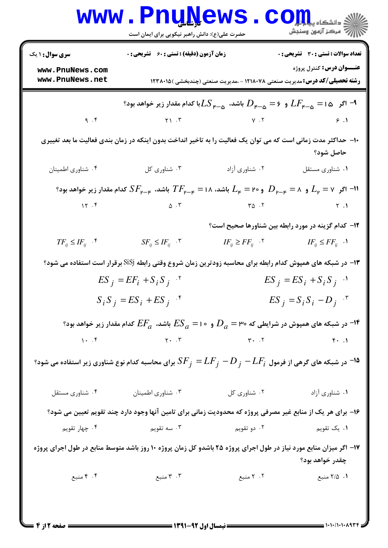| <b>سری سوال : ۱ یک</b>                                                                                             | زمان آزمون (دقیقه) : تستی : 60 ٪ تشریحی : 0                                                                                                                               |                                                                                                                                               | تعداد سوالات : تستى : 30 قشريحى : 0 |
|--------------------------------------------------------------------------------------------------------------------|---------------------------------------------------------------------------------------------------------------------------------------------------------------------------|-----------------------------------------------------------------------------------------------------------------------------------------------|-------------------------------------|
| www.PnuNews.com<br>www.PnuNews.net                                                                                 |                                                                                                                                                                           | <b>رشته تحصیلی/کد درس:</b> مدیریت صنعتی ۱۲۱۸۰۷۸ - ،مدیریت صنعتی (چندبخشی )۱۲۳۸۰۱۵                                                             | <b>عنـــوان درس:</b> کنترل پروژه    |
|                                                                                                                    |                                                                                                                                                                           | و۔ ج $F_{\varepsilon-\Delta}=L$ باشد، $L$ با کدام مقدار زیر خواهد بود $D_{\varepsilon-\Delta}=L$ با کدام مقدار زیر خواهد بود $^{-\mathsf{q}}$ |                                     |
| 9.7                                                                                                                |                                                                                                                                                                           | $Y \setminus Y$ $Y \setminus Y$ $Y \setminus Y$ $Y \setminus Y$                                                                               |                                     |
|                                                                                                                    | ۱۰– حداکثر مدت زمانی است که می توان یک فعالیت را به تاخیر انداخت بدون اینکه در زمان بندی فعالیت ما بعد تغییری                                                             |                                                                                                                                               | حاصل شود؟                           |
| ۰۴ شناوري اطمينان                                                                                                  | ۰۳ شناوری کل                                                                                                                                                              | ۰۲ شناوری آزاد                                                                                                                                | ٠١ شناوري مستقل                     |
|                                                                                                                    | ی د $L_{\sf p}=\mu_{\sf p}=\mu_{\sf p}$ و ۲۰ $D_{\sf p}={\cal L}_{\sf p}=1$ باشد، ۱۸ $F_{\sf p-\sf p}=T$ باشد، $S F_{\sf p-\sf p}$ کدام مقدار زیر خواهد بود $L_{\sf p}=0$ |                                                                                                                                               |                                     |
|                                                                                                                    |                                                                                                                                                                           |                                                                                                                                               |                                     |
|                                                                                                                    |                                                                                                                                                                           | <b>۱۲</b> - کدام گزینه در مورد رابطه بین شناورها صحیح است؟                                                                                    |                                     |
| $TF_{ij} \leq IF_{ij}$ . $^\circ$                                                                                  | $SF_{ij} \le IF_{ij}$ .                                                                                                                                                   | $IF_{ij} \geq FF_{ij}$ . $\qquad \qquad IF_{ij} \leq FF_{ij}$ .                                                                               |                                     |
|                                                                                                                    | ۱۳- در شبکه های همپوش کدام رابطه برای محاسبه زودترین زمان شروع وقتی رابطه SiSj برقرار است استفاده می شود؟                                                                 |                                                                                                                                               |                                     |
| $ES_j = EF_i + S_i S_j$ .*                                                                                         |                                                                                                                                                                           | $ES_j = ES_i + S_i S_j$ .                                                                                                                     |                                     |
|                                                                                                                    | $S_i S_j = ES_i + ES_j$ .*                                                                                                                                                | $ES_j = S_i S_i - D_j$ <sup>"</sup>                                                                                                           |                                     |
|                                                                                                                    | $\cdot$ در شبکه های همپوش در شرایطی که ص $D_a = P_o = E$ و $S_a = E$ باشد، $E$ کدام مقدار زیر خواهد بود $\cdot$                                                           |                                                                                                                                               |                                     |
| $\cdot \cdot$ . ۴                                                                                                  | $\mathbf{Y} \cdot \mathbf{X}$                                                                                                                                             | $\mathbf{r}$ . T                                                                                                                              | $\uparrow \cdot$ .                  |
| در شبکه های گرهی از فرمول $LF_{j}-DF_{j}=\pm F_{j}$ برای محاسبه کدام نوع شناوری زیر استفاده می شود؟ $^{-1}$        |                                                                                                                                                                           |                                                                                                                                               |                                     |
| ۰۴ شناوری مستقل                                                                                                    | ۰۳ شناوری اطمینان                                                                                                                                                         | ۰۲ شناوری کل                                                                                                                                  | ۰۱ شناوری آزاد                      |
|                                                                                                                    | ۱۶– برای هر یک از منابع غیر مصرفی پروژه که محدودیت زمانی برای تامین آنها وجود دارد چند تقویم تعیین می شود؟                                                                |                                                                                                                                               |                                     |
| ۰۴ چهار تقویم                                                                                                      | سه تقويم $\cdot$ ۳ .                                                                                                                                                      | ۰۲ دو تقویم                                                                                                                                   | ۰۱ یک تقویم                         |
| ۱۷– اگر میزان منابع مورد نیاز در طول اجرای پروژه ۲۵ باشدو کل زمان پروژه ۱۰ روز باشد متوسط منابع در طول اجرای پروژه |                                                                                                                                                                           |                                                                                                                                               | چقدر خواهد بود؟                     |
| ۰۴ منبع                                                                                                            | ۰۳ منبع                                                                                                                                                                   | ۲. ۲ منبع                                                                                                                                     | ۰۱ ۲/۵ منبع                         |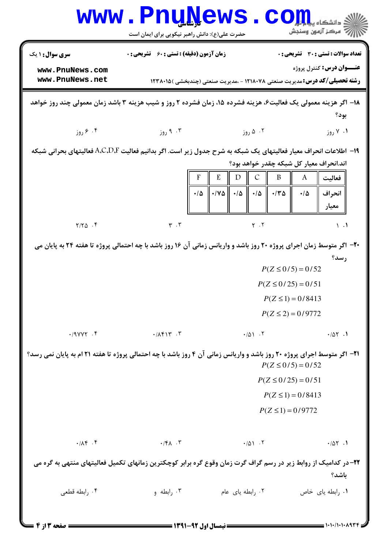|                                                                                                                                                              | <b>www.PnuNews</b><br>حضرت علی(ع): دانش راهبر نیکویی برای ایمان است |                                                                                                                   | ج ' مرڪز آزمون وسنڊش                  |  |  |
|--------------------------------------------------------------------------------------------------------------------------------------------------------------|---------------------------------------------------------------------|-------------------------------------------------------------------------------------------------------------------|---------------------------------------|--|--|
| سری سوال: ۱ یک                                                                                                                                               | <b>زمان آزمون (دقیقه) : تستی : 60 ٪ تشریحی : 0</b>                  |                                                                                                                   | تعداد سوالات : تستي : 30 ٪ تشريحي : 0 |  |  |
| www.PnuNews.com<br>www.PnuNews.net                                                                                                                           |                                                                     | <b>رشته تحصیلی/کد درس:</b> مدیریت صنعتی ۱۲۱۸۰۷۸ - ،مدیریت صنعتی (چندبخشی )۱۲۳۸۰۱۵                                 | <b>عنـــوان درس:</b> کنترل پروژه      |  |  |
| ۱۸– اگر هزینه معمولی یک فعالیت۶، هزینه فشرده ۱۵، زمان فشرده ۲ روز و شیب هزینه ۳ باشد زمان معمولی چند روز خواهد<br>بود؟                                       |                                                                     |                                                                                                                   |                                       |  |  |
| ۰۴ کروز                                                                                                                                                      | ۰۳ روز                                                              | ۰۲ ۵ روز                                                                                                          | ۰۱ ۷ روز                              |  |  |
| ۱۹−  اطلاعات انحراف معیار فعالیتهای یک شبکه به شرح جدول زیر است. اگر بدانیم فعالیت A،C،D،F فعالیتهای بحرانی شبکه<br>اند.انحراف معیار کل شبکه چقدر خواهد بود؟ |                                                                     |                                                                                                                   |                                       |  |  |
|                                                                                                                                                              |                                                                     | E<br>B<br>$\mathcal{C}$<br>D                                                                                      | فعاليت<br>A                           |  |  |
|                                                                                                                                                              |                                                                     | $\cdot/\Delta$<br>$\cdot$ / $\vee$ $\uparrow$<br>$\cdot$ / $\Delta$ $\parallel$ $\cdot$ / $\Delta$<br>$\cdot$ /٣۵ | $\cdot/\Delta$<br>انحراف              |  |  |
|                                                                                                                                                              |                                                                     |                                                                                                                   | معيار                                 |  |  |
| $Y/Y\Delta$ .                                                                                                                                                | $\mathbf{r}$ . $\mathbf{r}$                                         | $Y \cdot Y$                                                                                                       | $\lambda$ .                           |  |  |
| ۲۰- اگر متوسط زمان اجرای پروژه ۲۰ روز باشد و واریانس زمانی آن ۱۶ روز باشد با چه احتمالی پروژه تا هفته ۲۴ به پایان می                                         |                                                                     |                                                                                                                   |                                       |  |  |
|                                                                                                                                                              |                                                                     |                                                                                                                   | رسد؟<br>$P(Z \le 0/5) = 0/52$         |  |  |
|                                                                                                                                                              |                                                                     |                                                                                                                   | $P(Z \le 0/25) = 0/51$                |  |  |
|                                                                                                                                                              |                                                                     | $P(Z \le 1) = 0/8413$                                                                                             |                                       |  |  |
|                                                                                                                                                              |                                                                     | $P(Z \le 2) = 0/9772$                                                                                             |                                       |  |  |
| .9YYY.                                                                                                                                                       | $\cdot$ / $\Lambda$ $f \mid \Upsilon \cdot \Upsilon$                | .701.7                                                                                                            | .101.1                                |  |  |
| <b>۲۱</b> - اگر متوسط اجرای پروژه ۲۰ روز باشد و واریانس زمانی آن ۴ روز باشد با چه احتمالی پروژه تا هفته ۲۱ ام به پایان نمی رسد؟<br>$P(Z \le 0/5) = 0/52$     |                                                                     |                                                                                                                   |                                       |  |  |
|                                                                                                                                                              |                                                                     |                                                                                                                   | $P(Z \le 0/25) = 0/51$                |  |  |
|                                                                                                                                                              |                                                                     | $P(Z \le 1) = 0/8413$                                                                                             |                                       |  |  |
|                                                                                                                                                              |                                                                     |                                                                                                                   | $P(Z \le 1) = 0/9772$                 |  |  |
| $\cdot/\Lambda f$ . $f$                                                                                                                                      | $\cdot$ /۴ $\Lambda$ . ٣                                            | .101.7                                                                                                            | .101.1                                |  |  |
| ۲۲- در کدامیک از روابط زیر در رسم گراف گرت زمان وقوع گره برابر کوچکترین زمانهای تکمیل فعالیتهای منتهی به گره می<br>باشد؟                                     |                                                                     |                                                                                                                   |                                       |  |  |
| ۰۴ رابطه قطعی                                                                                                                                                | ۰۳ رابطه و                                                          | ۰۲ رابطه یای عام                                                                                                  | ۰۱ رابطه یای خاص                      |  |  |
| <b>6 صفحه 33 از 4</b>                                                                                                                                        |                                                                     |                                                                                                                   | = 1・1・/1・1・ハ٩٣۴                       |  |  |